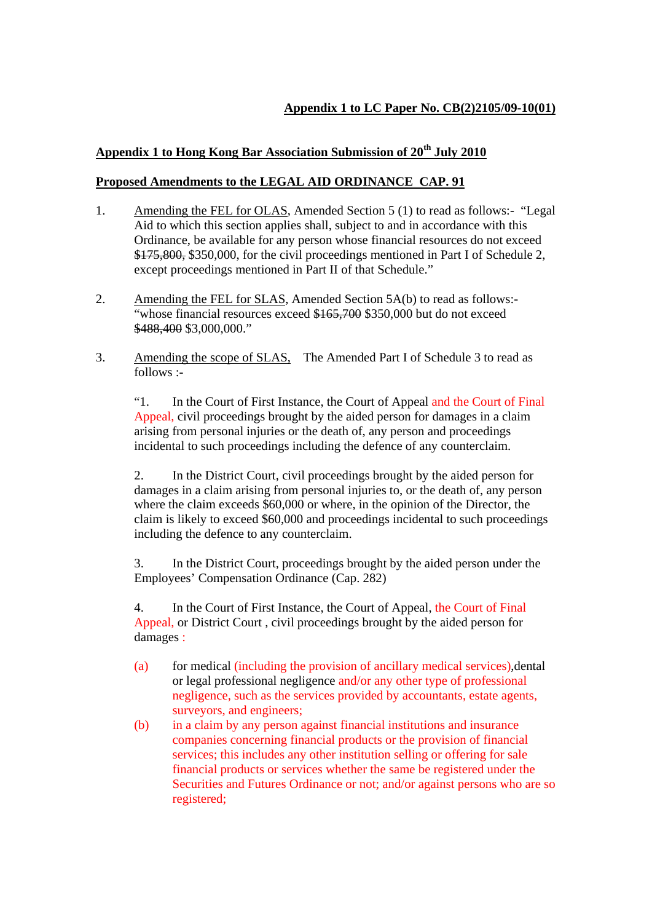## **Appendix 1 to LC Paper No. CB(2)2105/09-10(01)**

## **Appendix 1 to Hong Kong Bar Association Submission of 20th July 2010**

## **Proposed Amendments to the LEGAL AID ORDINANCE CAP. 91**

- 1. Amending the FEL for OLAS, Amended Section 5 (1) to read as follows:- "Legal Aid to which this section applies shall, subject to and in accordance with this Ordinance, be available for any person whose financial resources do not exceed \$175,800, \$350,000, for the civil proceedings mentioned in Part I of Schedule 2, except proceedings mentioned in Part II of that Schedule."
- 2. Amending the FEL for SLAS, Amended Section 5A(b) to read as follows:- "whose financial resources exceed \$165,700 \$350,000 but do not exceed \$488,400 \$3,000,000."
- 3. Amending the scope of SLAS, The Amended Part I of Schedule 3 to read as follows :-

"1. In the Court of First Instance, the Court of Appeal and the Court of Final Appeal, civil proceedings brought by the aided person for damages in a claim arising from personal injuries or the death of, any person and proceedings incidental to such proceedings including the defence of any counterclaim.

 2. In the District Court, civil proceedings brought by the aided person for damages in a claim arising from personal injuries to, or the death of, any person where the claim exceeds \$60,000 or where, in the opinion of the Director, the claim is likely to exceed \$60,000 and proceedings incidental to such proceedings including the defence to any counterclaim.

 3. In the District Court, proceedings brought by the aided person under the Employees' Compensation Ordinance (Cap. 282)

 4. In the Court of First Instance, the Court of Appeal, the Court of Final Appeal, or District Court , civil proceedings brought by the aided person for damages :

- (a) for medical (including the provision of ancillary medical services),dental or legal professional negligence and/or any other type of professional negligence, such as the services provided by accountants, estate agents, surveyors, and engineers;
- (b) in a claim by any person against financial institutions and insurance companies concerning financial products or the provision of financial services; this includes any other institution selling or offering for sale financial products or services whether the same be registered under the Securities and Futures Ordinance or not; and/or against persons who are so registered;